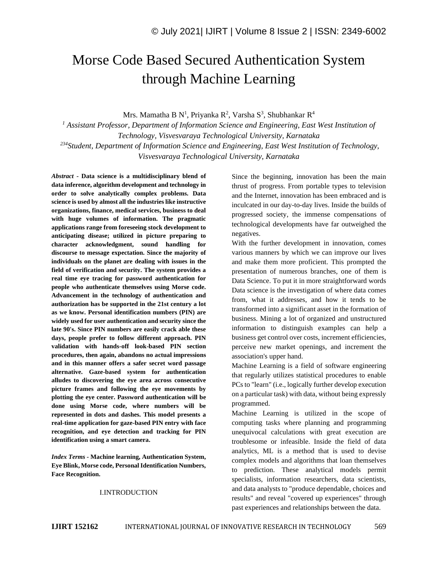# Morse Code Based Secured Authentication System through Machine Learning

Mrs. Mamatha B N<sup>1</sup>, Priyanka R<sup>2</sup>, Varsha S<sup>3</sup>, Shubhankar R<sup>4</sup>

*<sup>1</sup> Assistant Professor, Department of Information Science and Engineering, East West Institution of Technology, Visvesvaraya Technological University, Karnataka <sup>234</sup>Student, Department of Information Science and Engineering, East West Institution of Technology, Visvesvaraya Technological University, Karnataka*

*Abstract -* **Data science is a multidisciplinary blend of data inference, algorithm development and technology in order to solve analytically complex problems. Data science is used by almost all the industries like instructive organizations, finance, medical services, business to deal with huge volumes of information. The pragmatic applications range from foreseeing stock development to anticipating disease; utilized in picture preparing to character acknowledgment, sound handling for discourse to message expectation. Since the majority of individuals on the planet are dealing with issues in the field of verification and security. The system provides a real time eye tracing for password authentication for people who authenticate themselves using Morse code. Advancement in the technology of authentication and authorization has be supported in the 21st century a lot as we know. Personal identification numbers (PIN) are widely used for user authentication and security since the late 90's. Since PIN numbers are easily crack able these days, people prefer to follow different approach. PIN validation with hands-off look-based PIN section procedures, then again, abandons no actual impressions and in this manner offers a safer secret word passage alternative. Gaze-based system for authentication alludes to discovering the eye area across consecutive picture frames and following the eye movements by plotting the eye center. Password authentication will be done using Morse code, where numbers will be represented in dots and dashes. This model presents a real-time application for gaze-based PIN entry with face recognition, and eye detection and tracking for PIN identification using a smart camera.**

*Index Terms -* **Machine learning, Authentication System, Eye Blink, Morse code, Personal Identification Numbers, Face Recognition.**

#### I.INTRODUCTION

Since the beginning, innovation has been the main thrust of progress. From portable types to television and the Internet, innovation has been embraced and is inculcated in our day-to-day lives. Inside the builds of progressed society, the immense compensations of technological developments have far outweighed the negatives.

With the further development in innovation, comes various manners by which we can improve our lives and make them more proficient. This prompted the presentation of numerous branches, one of them is Data Science. To put it in more straightforward words Data science is the investigation of where data comes from, what it addresses, and how it tends to be transformed into a significant asset in the formation of business. Mining a lot of organized and unstructured information to distinguish examples can help a business get control over costs, increment efficiencies, perceive new market openings, and increment the association's upper hand.

Machine Learning is a field of software engineering that regularly utilizes statistical procedures to enable PCs to "learn" (i.e., logically further develop execution on a particular task) with data, without being expressly programmed.

Machine Learning is utilized in the scope of computing tasks where planning and programming unequivocal calculations with great execution are troublesome or infeasible. Inside the field of data analytics, ML is a method that is used to devise complex models and algorithms that loan themselves to prediction. These analytical models permit specialists, information researchers, data scientists, and data analysts to "produce dependable, choices and results" and reveal "covered up experiences" through past experiences and relationships between the data.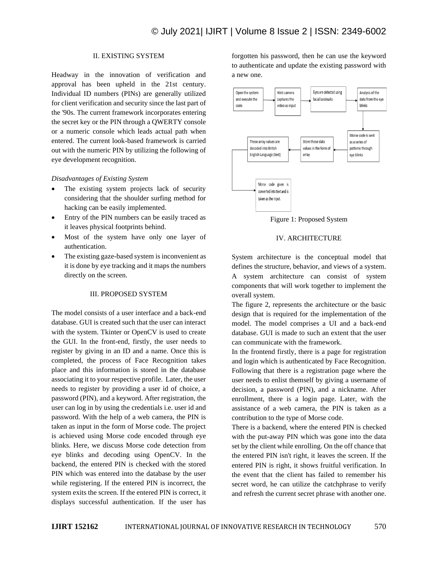# II. EXISTING SYSTEM

Headway in the innovation of verification and approval has been upheld in the 21st century. Individual ID numbers (PINs) are generally utilized for client verification and security since the last part of the '90s. The current framework incorporates entering the secret key or the PIN through a QWERTY console or a numeric console which leads actual path when entered. The current look-based framework is carried out with the numeric PIN by utilizing the following of eye development recognition.

#### *Disadvantages of Existing System*

- The existing system projects lack of security considering that the shoulder surfing method for hacking can be easily implemented.
- Entry of the PIN numbers can be easily traced as it leaves physical footprints behind.
- Most of the system have only one layer of authentication.
- The existing gaze-based system is inconvenient as it is done by eye tracking and it maps the numbers directly on the screen.

#### III. PROPOSED SYSTEM

The model consists of a user interface and a back-end database. GUI is created such that the user can interact with the system. Tkinter or OpenCV is used to create the GUI. In the front-end, firstly, the user needs to register by giving in an ID and a name. Once this is completed, the process of Face Recognition takes place and this information is stored in the database associating it to your respective profile. Later, the user needs to register by providing a user id of choice, a password (PIN), and a keyword. After registration, the user can log in by using the credentials i.e. user id and password. With the help of a web camera, the PIN is taken as input in the form of Morse code. The project is achieved using Morse code encoded through eye blinks. Here, we discuss Morse code detection from eye blinks and decoding using OpenCV. In the backend, the entered PIN is checked with the stored PIN which was entered into the database by the user while registering. If the entered PIN is incorrect, the system exits the screen. If the entered PIN is correct, it displays successful authentication. If the user has

forgotten his password, then he can use the keyword to authenticate and update the existing password with a new one.



Figure 1: Proposed System

#### IV. ARCHITECTURE

System architecture is the conceptual model that defines the structure, behavior, and views of a system. A system architecture can consist of system components that will work together to implement the overall system.

The figure 2, represents the architecture or the basic design that is required for the implementation of the model. The model comprises a UI and a back-end database. GUI is made to such an extent that the user can communicate with the framework.

In the frontend firstly, there is a page for registration and login which is authenticated by Face Recognition. Following that there is a registration page where the user needs to enlist themself by giving a username of decision, a password (PIN), and a nickname. After enrollment, there is a login page. Later, with the assistance of a web camera, the PIN is taken as a contribution to the type of Morse code.

There is a backend, where the entered PIN is checked with the put-away PIN which was gone into the data set by the client while enrolling. On the off chance that the entered PIN isn't right, it leaves the screen. If the entered PIN is right, it shows fruitful verification. In the event that the client has failed to remember his secret word, he can utilize the catchphrase to verify and refresh the current secret phrase with another one.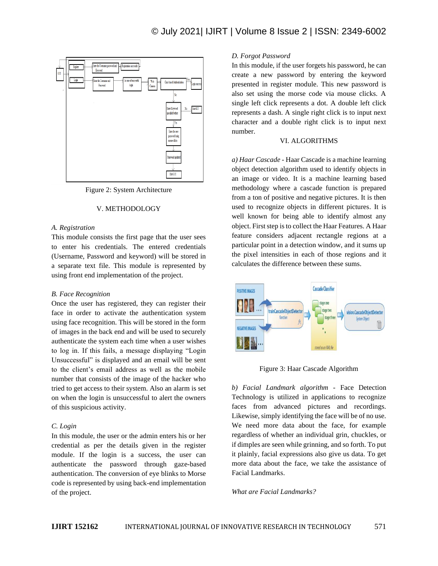

Figure 2: System Architecture

#### V. METHODOLOGY

#### *A. Registration*

This module consists the first page that the user sees to enter his credentials. The entered credentials (Username, Password and keyword) will be stored in a separate text file. This module is represented by using front end implementation of the project.

#### *B. Face Recognition*

Once the user has registered, they can register their face in order to activate the authentication system using face recognition. This will be stored in the form of images in the back end and will be used to securely authenticate the system each time when a user wishes to log in. If this fails, a message displaying "Login Unsuccessful" is displayed and an email will be sent to the client's email address as well as the mobile number that consists of the image of the hacker who tried to get access to their system. Also an alarm is set on when the login is unsuccessful to alert the owners of this suspicious activity.

#### *C. Login*

In this module, the user or the admin enters his or her credential as per the details given in the register module. If the login is a success, the user can authenticate the password through gaze-based authentication. The conversion of eye blinks to Morse code is represented by using back-end implementation of the project.

#### *D. Forgot Password*

In this module, if the user forgets his password, he can create a new password by entering the keyword presented in register module. This new password is also set using the morse code via mouse clicks. A single left click represents a dot. A double left click represents a dash. A single right click is to input next character and a double right click is to input next number.

# VI. ALGORITHMS

*a) Haar Cascade* - Haar Cascade is a machine learning object detection algorithm used to identify objects in an image or video. It is a machine learning based methodology where a cascade function is prepared from a ton of positive and negative pictures. It is then used to recognize objects in different pictures. It is well known for being able to identify almost any object. First step is to collect the Haar Features. A Haar feature considers adjacent rectangle regions at a particular point in a detection window, and it sums up the pixel intensities in each of those regions and it calculates the difference between these sums.



Figure 3: Haar Cascade Algorithm

*b) Facial Landmark algorithm* - Face Detection Technology is utilized in applications to recognize faces from advanced pictures and recordings. Likewise, simply identifying the face will be of no use. We need more data about the face, for example regardless of whether an individual grin, chuckles, or if dimples are seen while grinning, and so forth. To put it plainly, facial expressions also give us data. To get more data about the face, we take the assistance of Facial Landmarks.

*What are Facial Landmarks?*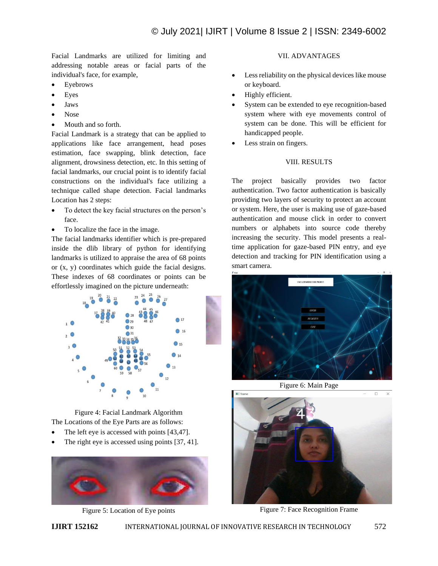Facial Landmarks are utilized for limiting and addressing notable areas or facial parts of the individual's face, for example,

- Eyebrows
- **Eyes**
- Jaws
- Nose
- Mouth and so forth.

Facial Landmark is a strategy that can be applied to applications like face arrangement, head poses estimation, face swapping, blink detection, face alignment, drowsiness detection, etc. In this setting of facial landmarks, our crucial point is to identify facial constructions on the individual's face utilizing a technique called shape detection. Facial landmarks Location has 2 steps:

- To detect the key facial structures on the person's face.
- To localize the face in the image.

The facial landmarks identifier which is pre-prepared inside the dlib library of python for identifying landmarks is utilized to appraise the area of 68 points or (x, y) coordinates which guide the facial designs. These indexes of 68 coordinates or points can be effortlessly imagined on the picture underneath:



Figure 4: Facial Landmark Algorithm The Locations of the Eye Parts are as follows:

- The left eye is accessed with points [43,47].
- The right eye is accessed using points [37, 41].



Figure 5: Location of Eye points

# VII. ADVANTAGES

- Less reliability on the physical devices like mouse or keyboard.
- Highly efficient.
- System can be extended to eye recognition-based system where with eye movements control of system can be done. This will be efficient for handicapped people.
- Less strain on fingers.

# VIII. RESULTS

The project basically provides two factor authentication. Two factor authentication is basically providing two layers of security to protect an account or system. Here, the user is making use of gaze-based authentication and mouse click in order to convert numbers or alphabets into source code thereby increasing the security. This model presents a realtime application for gaze-based PIN entry, and eye detection and tracking for PIN identification using a smart camera.



Figure 6: Main Page



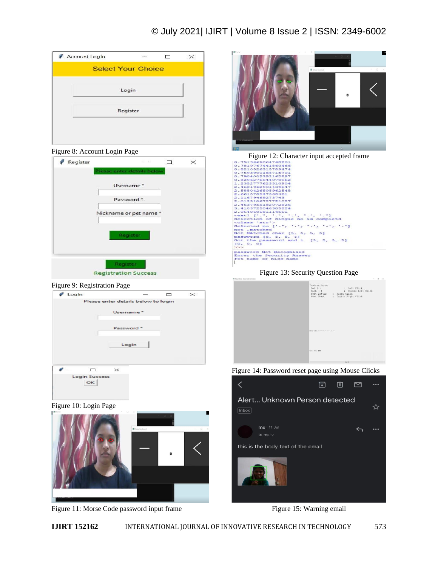# © July 2021| IJIRT | Volume 8 Issue 2 | ISSN: 2349-6002

| <b>Select Your Choice</b> |  |
|---------------------------|--|
| Login                     |  |
| Register                  |  |
|                           |  |

Figure 8: Account Login Page

| Register |                             | п |  |
|----------|-----------------------------|---|--|
|          | Please enter details below  |   |  |
|          | Username*                   |   |  |
|          | Password *                  |   |  |
|          | Nickname or pet name*       |   |  |
|          |                             |   |  |
|          | Register                    |   |  |
|          |                             |   |  |
|          | Register                    |   |  |
|          | <b>Registration Success</b> |   |  |

## Figure 9: Registration Page



Figure 10: Login Page







Figure 12: Character input accepted frame

| 0.7913669067793201                                                                       |  |
|------------------------------------------------------------------------------------------|--|
| 0.7819767441860466                                                                       |  |
| 0.8210526315789474                                                                       |  |
| 0.7593900166715701                                                                       |  |
| 0.7904002352162887                                                                       |  |
| 0.8296276844070962                                                                       |  |
| 1.2352777623310904                                                                       |  |
| 2.4681962901439647                                                                       |  |
| 2.5850426805962545                                                                       |  |
| 2.661578947368421                                                                        |  |
| 2.11679469273743                                                                         |  |
| 2.0123106727721027                                                                       |  |
| 2.4637955182072826                                                                       |  |
| 3.4103725046305824                                                                       |  |
| 2.064860681114551                                                                        |  |
|                                                                                          |  |
| Selection of Single no is completd                                                       |  |
| <class 'str'=""></class>                                                                 |  |
| Selected no $\left[\cdot, \cdot, \cdot, \cdot, \cdot, \cdot, \cdot, \cdot, \cdot\right]$ |  |
| not . matched                                                                            |  |
| Not MAtched char (5, 5, 5, 5)                                                            |  |
| paswword [5, 5, 5, 5]                                                                    |  |
| Got the password and i [5, 5, 5, 5]                                                      |  |
| 10.0.01                                                                                  |  |
| >>>                                                                                      |  |
| password Not Recognised                                                                  |  |
| Enter the Security Answer                                                                |  |
| Pet name or nick name                                                                    |  |
|                                                                                          |  |
|                                                                                          |  |

Figure 13: Security Question Page

| Instructions:<br>: Left Click<br>$Dot \{.\}$<br>Dash $(-)$<br>: Double Left Click<br>Next Letter : Right Click<br>Double Right Click<br>Next Word<br>$\mathcal{L}$ |
|--------------------------------------------------------------------------------------------------------------------------------------------------------------------|
| range today, some exces some entry                                                                                                                                 |
| Conv., Test: 0055<br><b>Contract Contract</b>                                                                                                                      |

Figure 14: Password reset page using Mouse Clicks



Figure 15: Warning email